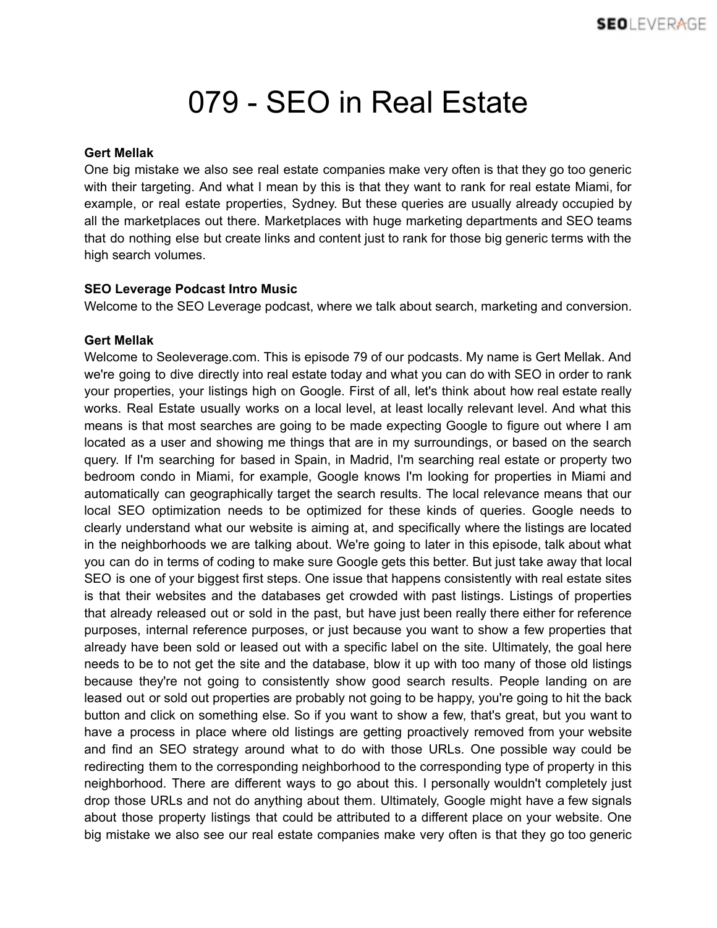## 079 - SEO in Real Estate

## **Gert Mellak**

One big mistake we also see real estate companies make very often is that they go too generic with their targeting. And what I mean by this is that they want to rank for real estate Miami, for example, or real estate properties, Sydney. But these queries are usually already occupied by all the marketplaces out there. Marketplaces with huge marketing departments and SEO teams that do nothing else but create links and content just to rank for those big generic terms with the high search volumes.

## **SEO Leverage Podcast Intro Music**

Welcome to the SEO Leverage podcast, where we talk about search, marketing and conversion.

## **Gert Mellak**

Welcome to Seoleverage.com. This is episode 79 of our podcasts. My name is Gert Mellak. And we're going to dive directly into real estate today and what you can do with SEO in order to rank your properties, your listings high on Google. First of all, let's think about how real estate really works. Real Estate usually works on a local level, at least locally relevant level. And what this means is that most searches are going to be made expecting Google to figure out where I am located as a user and showing me things that are in my surroundings, or based on the search query. If I'm searching for based in Spain, in Madrid, I'm searching real estate or property two bedroom condo in Miami, for example, Google knows I'm looking for properties in Miami and automatically can geographically target the search results. The local relevance means that our local SEO optimization needs to be optimized for these kinds of queries. Google needs to clearly understand what our website is aiming at, and specifically where the listings are located in the neighborhoods we are talking about. We're going to later in this episode, talk about what you can do in terms of coding to make sure Google gets this better. But just take away that local SEO is one of your biggest first steps. One issue that happens consistently with real estate sites is that their websites and the databases get crowded with past listings. Listings of properties that already released out or sold in the past, but have just been really there either for reference purposes, internal reference purposes, or just because you want to show a few properties that already have been sold or leased out with a specific label on the site. Ultimately, the goal here needs to be to not get the site and the database, blow it up with too many of those old listings because they're not going to consistently show good search results. People landing on are leased out or sold out properties are probably not going to be happy, you're going to hit the back button and click on something else. So if you want to show a few, that's great, but you want to have a process in place where old listings are getting proactively removed from your website and find an SEO strategy around what to do with those URLs. One possible way could be redirecting them to the corresponding neighborhood to the corresponding type of property in this neighborhood. There are different ways to go about this. I personally wouldn't completely just drop those URLs and not do anything about them. Ultimately, Google might have a few signals about those property listings that could be attributed to a different place on your website. One big mistake we also see our real estate companies make very often is that they go too generic